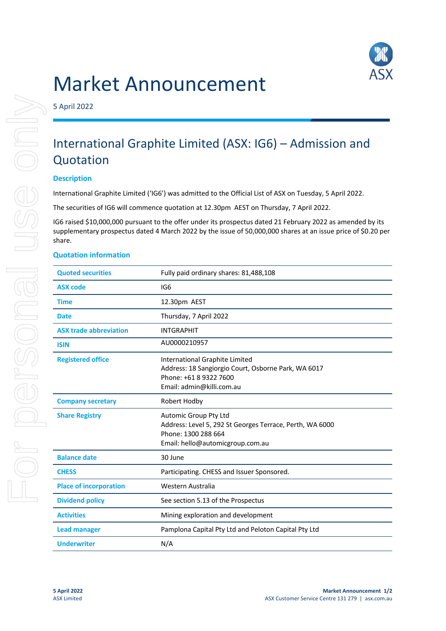

# Market Announcement

5 April 2022

# International Graphite Limited (ASX: IG6) – Admission and Quotation

## **Description**

International Graphite Limited ('IG6') was admitted to the Official List of ASX on Tuesday, 5 April 2022.

The securities of IG6 will commence quotation at 12.30pm AEST on Thursday, 7 April 2022.

IG6 raised \$10,000,000 pursuant to the offer under its prospectus dated 21 February 2022 as amended by its supplementary prospectus dated 4 March 2022 by the issue of 50,000,000 shares at an issue price of \$0.20 per share.

#### **Quotation information**

| <b>Quoted securities</b>      | Fully paid ordinary shares: 81,488,108                                                                                                       |
|-------------------------------|----------------------------------------------------------------------------------------------------------------------------------------------|
| <b>ASX code</b>               | IG6                                                                                                                                          |
| <b>Time</b>                   | 12.30pm AEST                                                                                                                                 |
| Date                          | Thursday, 7 April 2022                                                                                                                       |
| <b>ASX trade abbreviation</b> | <b>INTGRAPHIT</b>                                                                                                                            |
| <b>ISIN</b>                   | AU0000210957                                                                                                                                 |
| <b>Registered office</b>      | International Graphite Limited<br>Address: 18 Sangiorgio Court, Osborne Park, WA 6017<br>Phone: +61 8 9322 7600<br>Email: admin@killi.com.au |
| <b>Company secretary</b>      | Robert Hodby                                                                                                                                 |
| <b>Share Registry</b>         | Automic Group Pty Ltd<br>Address: Level 5, 292 St Georges Terrace, Perth, WA 6000<br>Phone: 1300 288 664<br>Email: hello@automicgroup.com.au |
| <b>Balance date</b>           | 30 June                                                                                                                                      |
| <b>CHESS</b>                  | Participating. CHESS and Issuer Sponsored.                                                                                                   |
| <b>Place of incorporation</b> | Western Australia                                                                                                                            |
| <b>Dividend policy</b>        | See section 5.13 of the Prospectus                                                                                                           |
| <b>Activities</b>             | Mining exploration and development                                                                                                           |
| <b>Lead manager</b>           | Pamplona Capital Pty Ltd and Peloton Capital Pty Ltd                                                                                         |
| <b>Underwriter</b>            | N/A                                                                                                                                          |